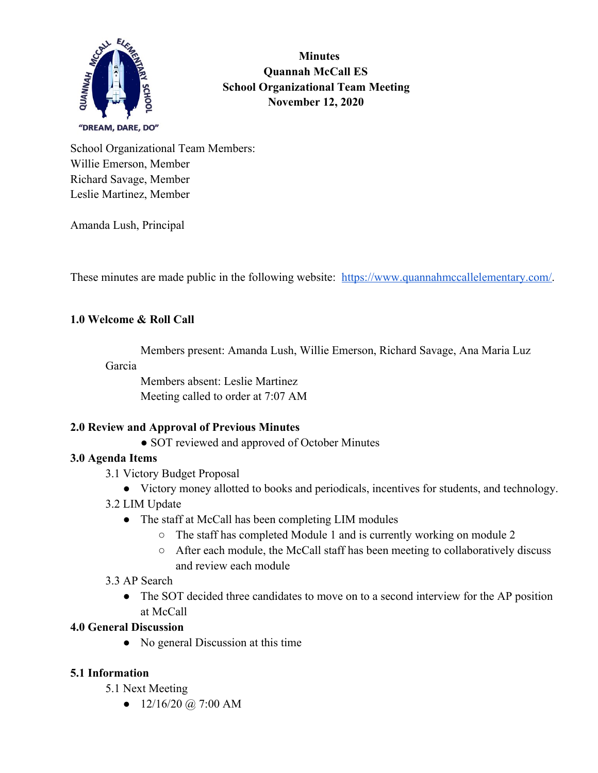

 **Minutes Quannah McCall ES School Organizational Team Meeting November 12, 2020**

School Organizational Team Members: Willie Emerson, Member Richard Savage, Member Leslie Martinez, Member

Amanda Lush, Principal

These minutes are made public in the following website: [https://www.quannahmccallelementary.com/.](https://www.quannahmccallelementary.com/)

## **1.0 Welcome & Roll Call**

Members present: Amanda Lush, Willie Emerson, Richard Savage, Ana Maria Luz

#### Garcia

Members absent: Leslie Martinez Meeting called to order at 7:07 AM

## **2.0 Review and Approval of Previous Minutes**

• SOT reviewed and approved of October Minutes

## **3.0 Agenda Items**

- 3.1 Victory Budget Proposal
	- Victory money allotted to books and periodicals, incentives for students, and technology.
- 3.2 LIM Update
	- The staff at McCall has been completing LIM modules
		- The staff has completed Module 1 and is currently working on module 2
		- After each module, the McCall staff has been meeting to collaboratively discuss and review each module

## 3.3 AP Search

• The SOT decided three candidates to move on to a second interview for the AP position at McCall

## **4.0 General Discussion**

• No general Discussion at this time

## **5.1 Information**

- 5.1 Next Meeting
	- $\bullet$  12/16/20 @ 7:00 AM